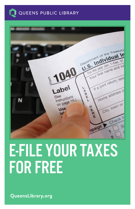



# E-FILE YOUR TAXES FOR FREE

**QueensLibrary.org**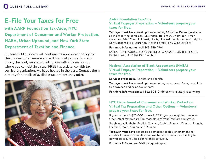## **E-File Your Taxes for Free AARP Foundation Tax-Aide**

**with AARP Foundation Tax-Aide, NYC Department of Consumer and Worker Protection, NABA, Urban Upbound, and New York State Department of Taxation and Finance**

Queens Public Library will continue its no-contact policy for the upcoming tax season and will not host programs in any library. Instead, we are providing you with information on where you can obtain virtual FREE tax assistance with tax service organizations we have hosted in the past. Contact them directly for details of available tax options they offer.



## **Virtual Taxpayer Preparation — Volunteers prepare your taxes for free.**

**Taxpayer must have:** email, phone number, AARP Tax Packet (available at the following libraries: Auburndale, Bellerose, Briarwood, Fresh Meadows, Glen Oaks, Hillcrest, Hollis, Howard Beach, Jackson Heights, Kew Gardens Hills, Laurelton, North Forest Park, Windsor Park)

**For more information:** call 203-939-7961

DO NOT GIVE YOUR SS# OR BANK INFO TO ANYONE ON THE PHONE. DO NOT MAIL ANY TAX DOCUMENTS.

#### **National Association of Black Accountants (NABA) Virtual Taxpayer Preparation — Volunteers prepare your taxes for free.**

**Services available in:** English and Spanish

**Taxpayer must have:** email, phone number, tax consent form, capability to download and print documents

**For More Information:** call 862-308-0466 or email: vita@nabany.org

#### **NYC Department of Consumer and Worker Protection Virtual Tax Preparation and Other Options — Volunteers prepare your taxes for free.**

If your income is \$72,000 or less in 2021, you are eligible to receive free virtual tax preparation regardless of your immigration status.

**Services available in:** English, Spanish, Arabic, Bengali, Chinese, French, Haitian Creole, Korean, and Russian

**Taxpayer must have** access to a computer, tablet, or smartphone; a stable Internet connection; access to text or email; and ability to download secure video conference software.

**For more information:** Visit nyc.gov/taxprep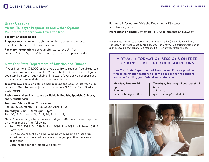#### **Urban Upbound**

**Virtual Taxpayer Preparation and Other Options — Volunteers prepare your taxes for free.**

#### **Specify language needs**

**Taxpayer must have:** email, phone number, access to computer or cellular phone with Internet access.

**For more Information:** getyourrefund.org/?s=UUNY or call 718-784-0877, press 1 for English; press 2 for Spanish, ext.7

#### **New York State Department of Taxation and Finance**

If your income is \$73,000 or less, you qualify to receive free virtual tax assistance. Volunteers from New York State Tax Department will guide you step-by-step through their online tax software as you prepare and e-file your federal and state income tax returns.

**Taxpayer must have** an active email account and copy of last year's tax return or 2020 federal adjusted gross income (FAGI) – if you filed a 2020 return.

**Basic return virtual assistance available in English, Spanish, Chinese, and Urdu/Bengali**

#### **Tuesdays: 10am - 12pm; 2pm - 4pm** Feb: 8, 15, 22, March: 1, 8, 15, 22, 29, April: 5, 12

**Thursdays: 10am - 12pm; 2pm - 4pm** Feb: 10, 17, 24, March: 3, 10, 17, 24, 31, April: 7, 14

**Note:** You are filing a basic tax return if your 2021 income was reported on one or more of the following:

- Form W-2, 1099-G, 1099-B, Form 1099-R or 1099-INT, Form 1098-T, Form 1095,
- 1099-MISC. report self-employed income, income or loss from a business you operated or a profession you practiced as a sole proprietor
- Cash income for self-employed activity

**For more information:** Visit the Department FSA website: www.tax.ny.gov/fsa

**Preregister by email:** Downstate.FSA.Appointments@tax.ny.gov

*Please note that these programs are not operated by Queens Public Library. The Library does not vouch for the accuracy of information disseminated during such programs and assumes no responsibility for any statements made.*

#### **VIRTUAL INFORMATION SESSIONS ON FREE OPTIONS FOR FILING YOUR TAX RETURN**

New York State Department of Taxation and Finance provides virtual information sessions to learn about all the free options available for filing your federal and state taxes.

**Monday, January 24 6pm** Join here: queenslib.org/3qP8lJv **Tuesdays, February 15** and **March 15 6pm** Join here: queenslib.org/3zGFkDK

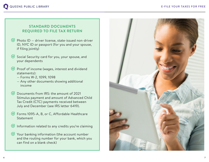#### **STANDARD DOCUMENTS REQUIRED TO FILE TAX RETURN**

- $\bullet$  Photo ID driver license, state-issued non-driver ID, NYC ID or passport (for you and your spouse, if filing jointly)
- $\bullet$  Social Security card for you, your spouse, and your dependents
- Proof of income (wages, interest and dividend statements):
	- Forms W-2, 1099, 1098
	- Any other documents showing additional income
- **S** Documents from IRS: the amount of 2021 Stimulus payment and amount of Advanced Child Tax Credit (CTC) payments received between July and December (see IRS letter 6419).
- Forms 1095-A, B, or C, Affordable Healthcare Statement
- $\bullet$  Information related to any credits you're claiming
- $\bullet$  Your banking information (the account number and the routing number for your bank, which you can find on a blank check)